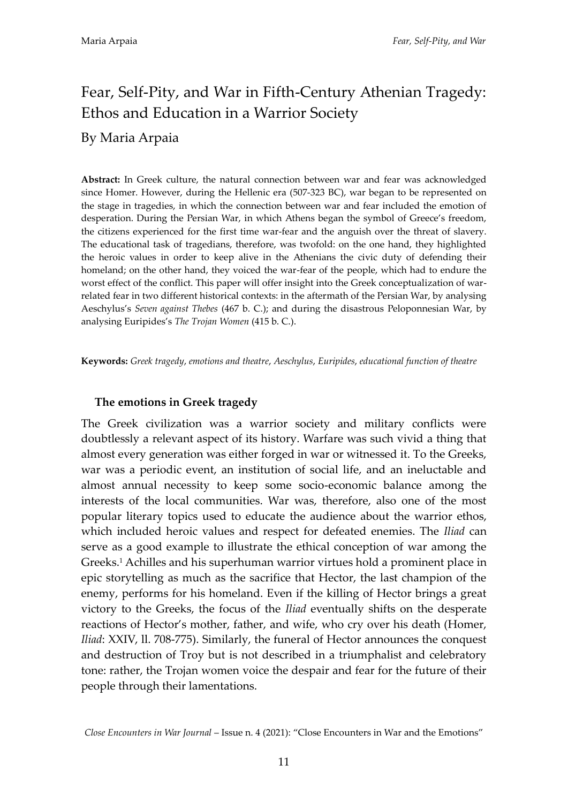# Fear, Self-Pity, and War in Fifth-Century Athenian Tragedy: Ethos and Education in a Warrior Society

# By Maria Arpaia

**Abstract:** In Greek culture, the natural connection between war and fear was acknowledged since Homer. However, during the Hellenic era (507-323 BC), war began to be represented on the stage in tragedies, in which the connection between war and fear included the emotion of desperation. During the Persian War, in which Athens began the symbol of Greece's freedom, the citizens experienced for the first time war-fear and the anguish over the threat of slavery. The educational task of tragedians, therefore, was twofold: on the one hand, they highlighted the heroic values in order to keep alive in the Athenians the civic duty of defending their homeland; on the other hand, they voiced the war-fear of the people, which had to endure the worst effect of the conflict. This paper will offer insight into the Greek conceptualization of warrelated fear in two different historical contexts: in the aftermath of the Persian War, by analysing Aeschylus's *Seven against Thebes* (467 b. C.); and during the disastrous Peloponnesian War, by analysing Euripides's *The Trojan Women* (415 b. C.).

**Keywords:** *Greek tragedy*, *emotions and theatre*, *Aeschylus*, *Euripides*, *educational function of theatre*

#### **The emotions in Greek tragedy**

The Greek civilization was a warrior society and military conflicts were doubtlessly a relevant aspect of its history. Warfare was such vivid a thing that almost every generation was either forged in war or witnessed it. To the Greeks, war was a periodic event, an institution of social life, and an ineluctable and almost annual necessity to keep some socio-economic balance among the interests of the local communities. War was, therefore, also one of the most popular literary topics used to educate the audience about the warrior ethos, which included heroic values and respect for defeated enemies. The *Iliad* can serve as a good example to illustrate the ethical conception of war among the Greeks.<sup>1</sup> Achilles and his superhuman warrior virtues hold a prominent place in epic storytelling as much as the sacrifice that Hector, the last champion of the enemy, performs for his homeland. Even if the killing of Hector brings a great victory to the Greeks, the focus of the *Iliad* eventually shifts on the desperate reactions of Hector's mother, father, and wife, who cry over his death (Homer, *Iliad*: XXIV, ll. 708-775). Similarly, the funeral of Hector announces the conquest and destruction of Troy but is not described in a triumphalist and celebratory tone: rather, the Trojan women voice the despair and fear for the future of their people through their lamentations.

*Close Encounters in War Journal* – Issue n. 4 (2021): 'Close Encounters in War and the Emotions'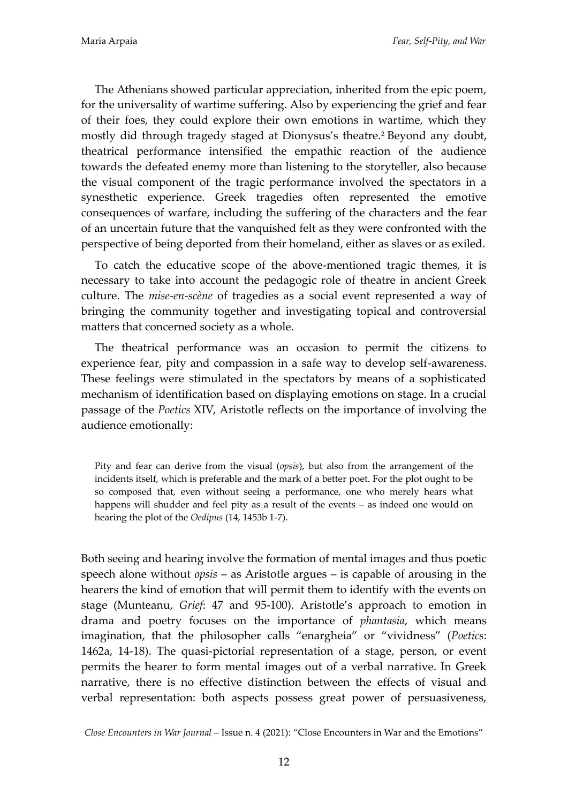The Athenians showed particular appreciation, inherited from the epic poem, for the universality of wartime suffering. Also by experiencing the grief and fear of their foes, they could explore their own emotions in wartime, which they mostly did through tragedy staged at Dionysus's theatre.<sup>2</sup> Beyond any doubt, theatrical performance intensified the empathic reaction of the audience towards the defeated enemy more than listening to the storyteller, also because the visual component of the tragic performance involved the spectators in a synesthetic experience. Greek tragedies often represented the emotive consequences of warfare, including the suffering of the characters and the fear of an uncertain future that the vanquished felt as they were confronted with the perspective of being deported from their homeland, either as slaves or as exiled.

To catch the educative scope of the above-mentioned tragic themes, it is necessary to take into account the pedagogic role of theatre in ancient Greek culture. The *mise-en-scène* of tragedies as a social event represented a way of bringing the community together and investigating topical and controversial matters that concerned society as a whole.

The theatrical performance was an occasion to permit the citizens to experience fear, pity and compassion in a safe way to develop self-awareness. These feelings were stimulated in the spectators by means of a sophisticated mechanism of identification based on displaying emotions on stage. In a crucial passage of the *Poetics* XIV, Aristotle reflects on the importance of involving the audience emotionally:

Pity and fear can derive from the visual (*opsis*), but also from the arrangement of the incidents itself, which is preferable and the mark of a better poet. For the plot ought to be so composed that, even without seeing a performance, one who merely hears what happens will shudder and feel pity as a result of the events – as indeed one would on hearing the plot of the *Oedipus* (14, 1453b 1-7).

Both seeing and hearing involve the formation of mental images and thus poetic speech alone without *opsis* – as Aristotle argues – is capable of arousing in the hearers the kind of emotion that will permit them to identify with the events on stage (Munteanu, *Grief*: 47 and 95-100). Aristotle's approach to emotion in drama and poetry focuses on the importance of *phantasia*, which means imagination, that the philosopher calls 'enargheia' or 'vividness' (*Poetics*: 1462a, 14-18). The quasi-pictorial representation of a stage, person, or event permits the hearer to form mental images out of a verbal narrative. In Greek narrative, there is no effective distinction between the effects of visual and verbal representation: both aspects possess great power of persuasiveness,

*Close Encounters in War Journal* – Issue n. 4 (2021): 'Close Encounters in War and the Emotions'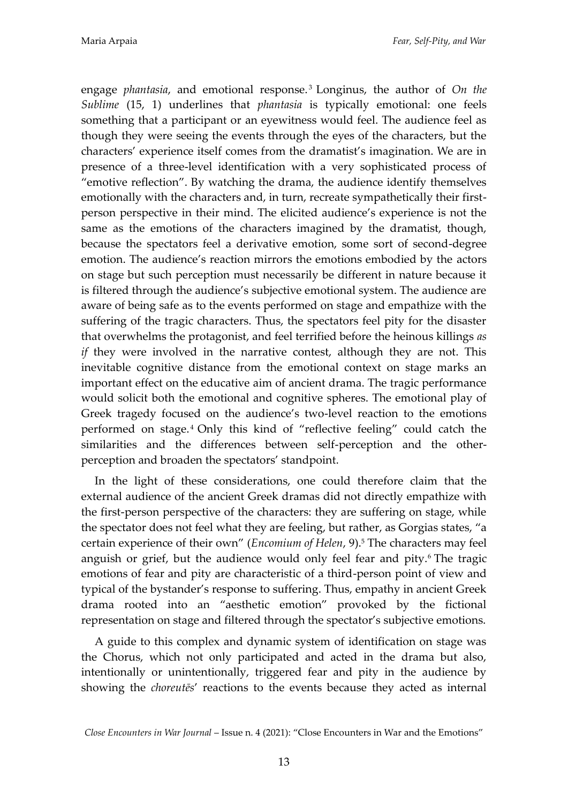engage *phantasia*, and emotional response.<sup>3</sup> Longinus, the author of *On the Sublime* (15, 1) underlines that *phantasia* is typically emotional: one feels something that a participant or an eyewitness would feel. The audience feel as though they were seeing the events through the eyes of the characters, but the characters' experience itself comes from the dramatist's imagination. We are in presence of a three-level identification with a very sophisticated process of 'emotive reflection'. By watching the drama, the audience identify themselves emotionally with the characters and, in turn, recreate sympathetically their firstperson perspective in their mind. The elicited audience's experience is not the same as the emotions of the characters imagined by the dramatist, though, because the spectators feel a derivative emotion, some sort of second-degree emotion. The audience's reaction mirrors the emotions embodied by the actors on stage but such perception must necessarily be different in nature because it is filtered through the audience's subjective emotional system. The audience are aware of being safe as to the events performed on stage and empathize with the suffering of the tragic characters. Thus, the spectators feel pity for the disaster that overwhelms the protagonist, and feel terrified before the heinous killings *as if* they were involved in the narrative contest, although they are not. This inevitable cognitive distance from the emotional context on stage marks an important effect on the educative aim of ancient drama. The tragic performance would solicit both the emotional and cognitive spheres. The emotional play of Greek tragedy focused on the audience's two-level reaction to the emotions performed on stage. <sup>4</sup> Only this kind of 'reflective feeling' could catch the similarities and the differences between self-perception and the otherperception and broaden the spectators' standpoint.

In the light of these considerations, one could therefore claim that the external audience of the ancient Greek dramas did not directly empathize with the first-person perspective of the characters: they are suffering on stage, while the spectator does not feel what they are feeling, but rather, as Gorgias states, 'a certain experience of their own' (*Encomium of Helen*, 9).<sup>5</sup> The characters may feel anguish or grief, but the audience would only feel fear and pity.<sup>6</sup> The tragic emotions of fear and pity are characteristic of a third-person point of view and typical of the bystander's response to suffering. Thus, empathy in ancient Greek drama rooted into an 'aesthetic emotion' provoked by the fictional representation on stage and filtered through the spectator's subjective emotions.

A guide to this complex and dynamic system of identification on stage was the Chorus, which not only participated and acted in the drama but also, intentionally or unintentionally, triggered fear and pity in the audience by showing the *choreutēs*' reactions to the events because they acted as internal

*Close Encounters in War Journal* – Issue n. 4 (2021): 'Close Encounters in War and the Emotions'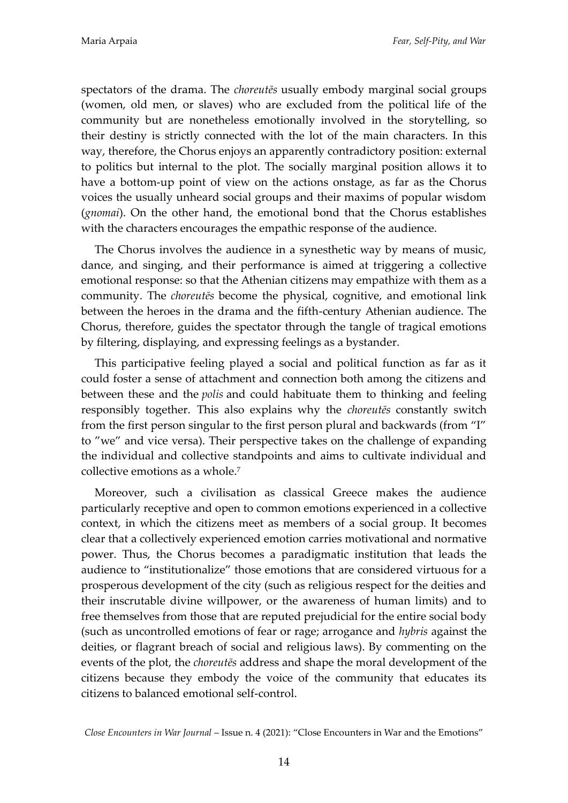spectators of the drama. The *choreutēs* usually embody marginal social groups (women, old men, or slaves) who are excluded from the political life of the community but are nonetheless emotionally involved in the storytelling, so their destiny is strictly connected with the lot of the main characters. In this way, therefore, the Chorus enjoys an apparently contradictory position: external to politics but internal to the plot. The socially marginal position allows it to have a bottom-up point of view on the actions onstage, as far as the Chorus voices the usually unheard social groups and their maxims of popular wisdom (*gnomai*). On the other hand, the emotional bond that the Chorus establishes with the characters encourages the empathic response of the audience.

The Chorus involves the audience in a synesthetic way by means of music, dance, and singing, and their performance is aimed at triggering a collective emotional response: so that the Athenian citizens may empathize with them as a community. The *choreutēs* become the physical, cognitive, and emotional link between the heroes in the drama and the fifth-century Athenian audience. The Chorus, therefore, guides the spectator through the tangle of tragical emotions by filtering, displaying, and expressing feelings as a bystander.

This participative feeling played a social and political function as far as it could foster a sense of attachment and connection both among the citizens and between these and the *polis* and could habituate them to thinking and feeling responsibly together. This also explains why the *choreutēs* constantly switch from the first person singular to the first person plural and backwards (from 'I' to 'we' and vice versa). Their perspective takes on the challenge of expanding the individual and collective standpoints and aims to cultivate individual and collective emotions as a whole.<sup>7</sup>

Moreover, such a civilisation as classical Greece makes the audience particularly receptive and open to common emotions experienced in a collective context, in which the citizens meet as members of a social group. It becomes clear that a collectively experienced emotion carries motivational and normative power. Thus, the Chorus becomes a paradigmatic institution that leads the audience to 'institutionalize' those emotions that are considered virtuous for a prosperous development of the city (such as religious respect for the deities and their inscrutable divine willpower, or the awareness of human limits) and to free themselves from those that are reputed prejudicial for the entire social body (such as uncontrolled emotions of fear or rage; arrogance and *hybris* against the deities, or flagrant breach of social and religious laws). By commenting on the events of the plot, the *choreutēs* address and shape the moral development of the citizens because they embody the voice of the community that educates its citizens to balanced emotional self-control.

*Close Encounters in War Journal* – Issue n. 4 (2021): 'Close Encounters in War and the Emotions'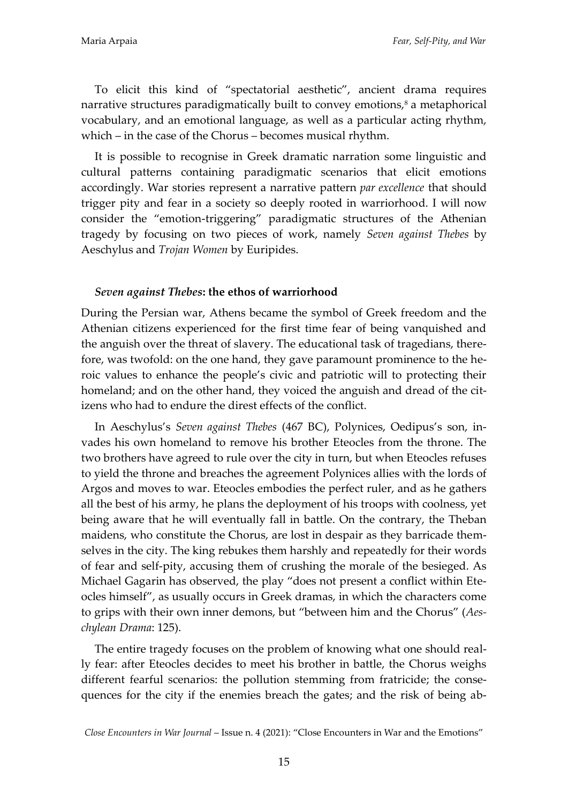To elicit this kind of 'spectatorial aesthetic', ancient drama requires narrative structures paradigmatically built to convey emotions,<sup>8</sup> a metaphorical vocabulary, and an emotional language, as well as a particular acting rhythm, which – in the case of the Chorus – becomes musical rhythm.

It is possible to recognise in Greek dramatic narration some linguistic and cultural patterns containing paradigmatic scenarios that elicit emotions accordingly. War stories represent a narrative pattern *par excellence* that should trigger pity and fear in a society so deeply rooted in warriorhood. I will now consider the 'emotion-triggering' paradigmatic structures of the Athenian tragedy by focusing on two pieces of work, namely *Seven against Thebes* by Aeschylus and *Trojan Women* by Euripides.

### *Seven against Thebes***: the ethos of warriorhood**

During the Persian war, Athens became the symbol of Greek freedom and the Athenian citizens experienced for the first time fear of being vanquished and the anguish over the threat of slavery. The educational task of tragedians, therefore, was twofold: on the one hand, they gave paramount prominence to the heroic values to enhance the people's civic and patriotic will to protecting their homeland; and on the other hand, they voiced the anguish and dread of the citizens who had to endure the direst effects of the conflict.

In Aeschylus's *Seven against Thebes* (467 BC), Polynices, Oedipus's son, invades his own homeland to remove his brother Eteocles from the throne. The two brothers have agreed to rule over the city in turn, but when Eteocles refuses to yield the throne and breaches the agreement Polynices allies with the lords of Argos and moves to war. Eteocles embodies the perfect ruler, and as he gathers all the best of his army, he plans the deployment of his troops with coolness, yet being aware that he will eventually fall in battle. On the contrary, the Theban maidens, who constitute the Chorus, are lost in despair as they barricade themselves in the city. The king rebukes them harshly and repeatedly for their words of fear and self-pity, accusing them of crushing the morale of the besieged. As Michael Gagarin has observed, the play 'does not present a conflict within Eteocles himself', as usually occurs in Greek dramas, in which the characters come to grips with their own inner demons, but 'between him and the Chorus' (*Aeschylean Drama*: 125).

The entire tragedy focuses on the problem of knowing what one should really fear: after Eteocles decides to meet his brother in battle, the Chorus weighs different fearful scenarios: the pollution stemming from fratricide; the consequences for the city if the enemies breach the gates; and the risk of being ab-

*Close Encounters in War Journal* – Issue n. 4 (2021): 'Close Encounters in War and the Emotions'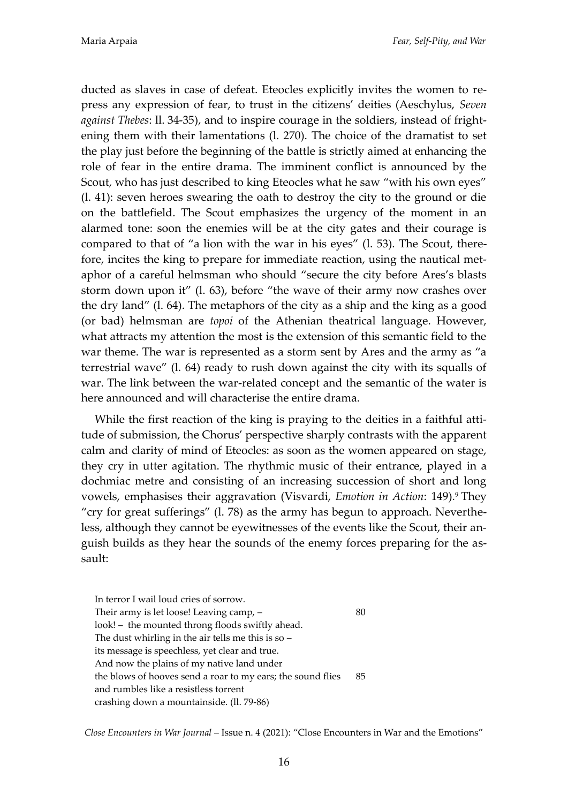ducted as slaves in case of defeat. Eteocles explicitly invites the women to repress any expression of fear, to trust in the citizens' deities (Aeschylus, *Seven against Thebes*: ll. 34-35), and to inspire courage in the soldiers, instead of frightening them with their lamentations (l. 270). The choice of the dramatist to set the play just before the beginning of the battle is strictly aimed at enhancing the role of fear in the entire drama. The imminent conflict is announced by the Scout, who has just described to king Eteocles what he saw "with his own eyes" (l. 41): seven heroes swearing the oath to destroy the city to the ground or die on the battlefield. The Scout emphasizes the urgency of the moment in an alarmed tone: soon the enemies will be at the city gates and their courage is compared to that of 'a lion with the war in his eyes' (l. 53). The Scout, therefore, incites the king to prepare for immediate reaction, using the nautical metaphor of a careful helmsman who should 'secure the city before Ares's blasts storm down upon it' (l. 63), before 'the wave of their army now crashes over the dry land' (l. 64). The metaphors of the city as a ship and the king as a good (or bad) helmsman are *topoi* of the Athenian theatrical language. However, what attracts my attention the most is the extension of this semantic field to the war theme. The war is represented as a storm sent by Ares and the army as 'a terrestrial wave' (l. 64) ready to rush down against the city with its squalls of war. The link between the war-related concept and the semantic of the water is here announced and will characterise the entire drama.

While the first reaction of the king is praying to the deities in a faithful attitude of submission, the Chorus' perspective sharply contrasts with the apparent calm and clarity of mind of Eteocles: as soon as the women appeared on stage, they cry in utter agitation. The rhythmic music of their entrance, played in a dochmiac metre and consisting of an increasing succession of short and long vowels, emphasises their aggravation (Visvardi, *Emotion in Action*: 149).<sup>9</sup> They 'cry for great sufferings' (l. 78) as the army has begun to approach. Nevertheless, although they cannot be eyewitnesses of the events like the Scout, their anguish builds as they hear the sounds of the enemy forces preparing for the assault:

In terror I wail loud cries of sorrow. Their army is let loose! Leaving camp,  $-$  80 look! – the mounted throng floods swiftly ahead. The dust whirling in the air tells me this is so – its message is speechless, yet clear and true. And now the plains of my native land under the blows of hooves send a roar to my ears; the sound flies 85 and rumbles like a resistless torrent crashing down a mountainside. (ll. 79-86)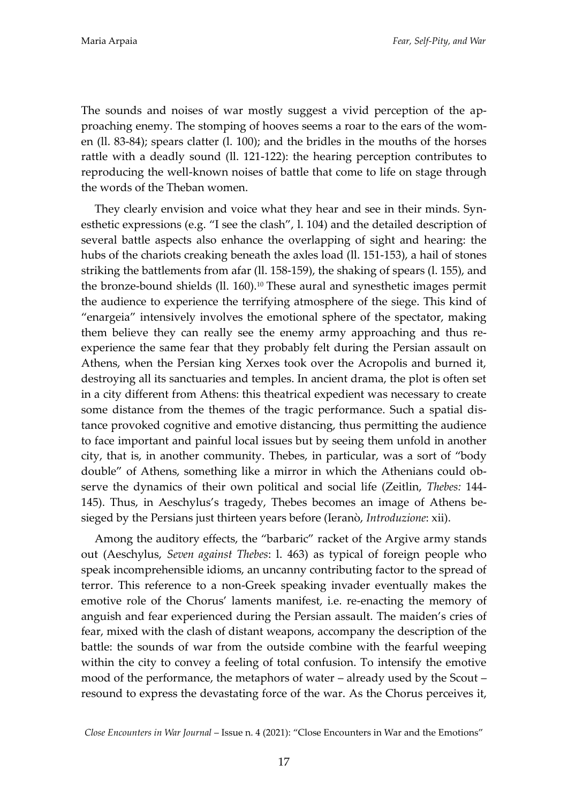The sounds and noises of war mostly suggest a vivid perception of the approaching enemy. The stomping of hooves seems a roar to the ears of the women (ll. 83-84); spears clatter (l. 100); and the bridles in the mouths of the horses rattle with a deadly sound (ll. 121-122): the hearing perception contributes to reproducing the well-known noises of battle that come to life on stage through the words of the Theban women.

They clearly envision and voice what they hear and see in their minds. Synesthetic expressions (e.g. 'I see the clash', l. 104) and the detailed description of several battle aspects also enhance the overlapping of sight and hearing: the hubs of the chariots creaking beneath the axles load (ll. 151-153), a hail of stones striking the battlements from afar (ll. 158-159), the shaking of spears (l. 155), and the bronze-bound shields (ll. 160). <sup>10</sup> These aural and synesthetic images permit the audience to experience the terrifying atmosphere of the siege. This kind of 'enargeia' intensively involves the emotional sphere of the spectator, making them believe they can really see the enemy army approaching and thus reexperience the same fear that they probably felt during the Persian assault on Athens, when the Persian king Xerxes took over the Acropolis and burned it, destroying all its sanctuaries and temples. In ancient drama, the plot is often set in a city different from Athens: this theatrical expedient was necessary to create some distance from the themes of the tragic performance. Such a spatial distance provoked cognitive and emotive distancing, thus permitting the audience to face important and painful local issues but by seeing them unfold in another city, that is, in another community. Thebes, in particular, was a sort of 'body double' of Athens, something like a mirror in which the Athenians could observe the dynamics of their own political and social life (Zeitlin, *Thebes:* 144- 145). Thus, in Aeschylus's tragedy, Thebes becomes an image of Athens besieged by the Persians just thirteen years before (Ieranò, *Introduzione*: xii).

Among the auditory effects, the 'barbaric' racket of the Argive army stands out (Aeschylus, *Seven against Thebes*: l. 463) as typical of foreign people who speak incomprehensible idioms, an uncanny contributing factor to the spread of terror. This reference to a non-Greek speaking invader eventually makes the emotive role of the Chorus' laments manifest, i.e. re-enacting the memory of anguish and fear experienced during the Persian assault. The maiden's cries of fear, mixed with the clash of distant weapons, accompany the description of the battle: the sounds of war from the outside combine with the fearful weeping within the city to convey a feeling of total confusion. To intensify the emotive mood of the performance, the metaphors of water – already used by the Scout – resound to express the devastating force of the war. As the Chorus perceives it,

*Close Encounters in War Journal* – Issue n. 4 (2021): 'Close Encounters in War and the Emotions'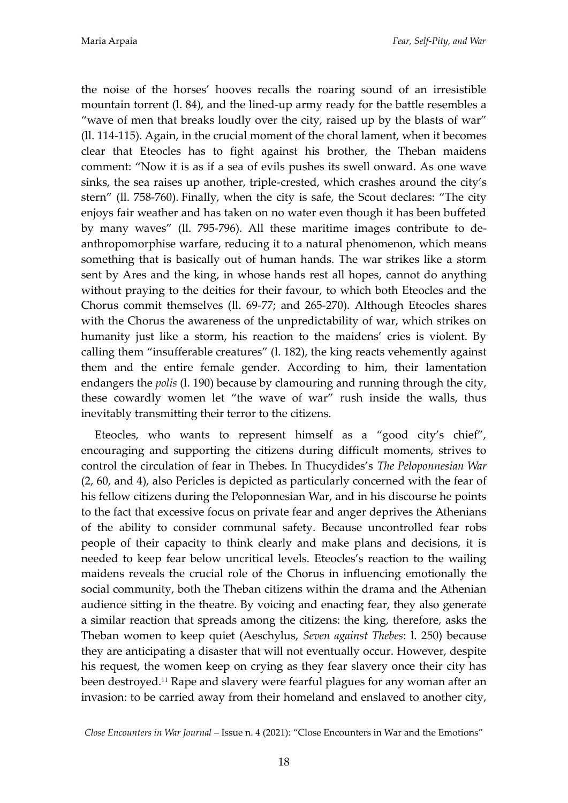the noise of the horses' hooves recalls the roaring sound of an irresistible mountain torrent (l. 84), and the lined-up army ready for the battle resembles a 'wave of men that breaks loudly over the city, raised up by the blasts of war' (ll. 114-115). Again, in the crucial moment of the choral lament, when it becomes clear that Eteocles has to fight against his brother, the Theban maidens comment: 'Now it is as if a sea of evils pushes its swell onward. As one wave sinks, the sea raises up another, triple-crested, which crashes around the city's stern' (ll. 758-760). Finally, when the city is safe, the Scout declares: 'The city enjoys fair weather and has taken on no water even though it has been buffeted by many waves' (ll. 795-796). All these maritime images contribute to deanthropomorphise warfare, reducing it to a natural phenomenon, which means something that is basically out of human hands. The war strikes like a storm sent by Ares and the king, in whose hands rest all hopes, cannot do anything without praying to the deities for their favour, to which both Eteocles and the Chorus commit themselves (ll. 69-77; and 265-270). Although Eteocles shares with the Chorus the awareness of the unpredictability of war, which strikes on humanity just like a storm, his reaction to the maidens' cries is violent. By calling them 'insufferable creatures' (l. 182), the king reacts vehemently against them and the entire female gender. According to him, their lamentation endangers the *polis* (l. 190) because by clamouring and running through the city, these cowardly women let 'the wave of war' rush inside the walls, thus inevitably transmitting their terror to the citizens.

Eteocles, who wants to represent himself as a 'good city's chief', encouraging and supporting the citizens during difficult moments, strives to control the circulation of fear in Thebes. In Thucydides's *The Peloponnesian War* (2, 60, and 4), also Pericles is depicted as particularly concerned with the fear of his fellow citizens during the Peloponnesian War, and in his discourse he points to the fact that excessive focus on private fear and anger deprives the Athenians of the ability to consider communal safety. Because uncontrolled fear robs people of their capacity to think clearly and make plans and decisions, it is needed to keep fear below uncritical levels. Eteocles's reaction to the wailing maidens reveals the crucial role of the Chorus in influencing emotionally the social community, both the Theban citizens within the drama and the Athenian audience sitting in the theatre. By voicing and enacting fear, they also generate a similar reaction that spreads among the citizens: the king, therefore, asks the Theban women to keep quiet (Aeschylus, *Seven against Thebes*: l. 250) because they are anticipating a disaster that will not eventually occur. However, despite his request, the women keep on crying as they fear slavery once their city has been destroyed.<sup>11</sup> Rape and slavery were fearful plagues for any woman after an invasion: to be carried away from their homeland and enslaved to another city,

*Close Encounters in War Journal* – Issue n. 4 (2021): 'Close Encounters in War and the Emotions'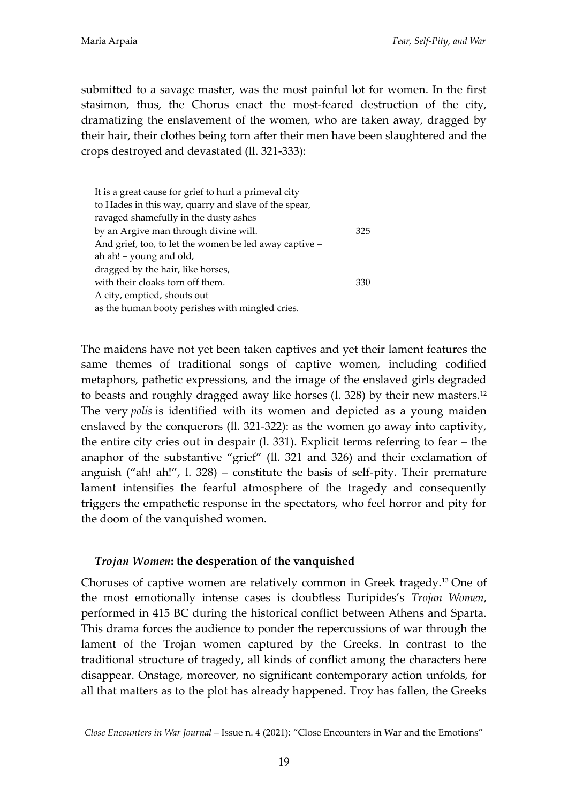submitted to a savage master, was the most painful lot for women. In the first stasimon, thus, the Chorus enact the most-feared destruction of the city, dramatizing the enslavement of the women, who are taken away, dragged by their hair, their clothes being torn after their men have been slaughtered and the crops destroyed and devastated (ll. 321-333):

| It is a great cause for grief to hurl a primeval city  |     |
|--------------------------------------------------------|-----|
| to Hades in this way, quarry and slave of the spear,   |     |
| ravaged shamefully in the dusty ashes                  |     |
| by an Argive man through divine will.                  | 325 |
| And grief, too, to let the women be led away captive - |     |
| ah ah! – young and old,                                |     |
| dragged by the hair, like horses,                      |     |
| with their cloaks torn off them.                       | 330 |
| A city, emptied, shouts out                            |     |
| as the human booty perishes with mingled cries.        |     |

The maidens have not yet been taken captives and yet their lament features the same themes of traditional songs of captive women, including codified metaphors, pathetic expressions, and the image of the enslaved girls degraded to beasts and roughly dragged away like horses (l. 328) by their new masters.<sup>12</sup> The very *polis* is identified with its women and depicted as a young maiden enslaved by the conquerors (ll. 321-322): as the women go away into captivity, the entire city cries out in despair (l. 331). Explicit terms referring to fear – the anaphor of the substantive 'grief' (ll. 321 and 326) and their exclamation of anguish ("ah! ah!",  $\lambda$  1. 328) – constitute the basis of self-pity. Their premature lament intensifies the fearful atmosphere of the tragedy and consequently triggers the empathetic response in the spectators, who feel horror and pity for the doom of the vanquished women.

## *Trojan Women***: the desperation of the vanquished**

Choruses of captive women are relatively common in Greek tragedy.<sup>13</sup> One of the most emotionally intense cases is doubtless Euripides's *Trojan Women*, performed in 415 BC during the historical conflict between Athens and Sparta. This drama forces the audience to ponder the repercussions of war through the lament of the Trojan women captured by the Greeks. In contrast to the traditional structure of tragedy, all kinds of conflict among the characters here disappear. Onstage, moreover, no significant contemporary action unfolds, for all that matters as to the plot has already happened. Troy has fallen, the Greeks

*Close Encounters in War Journal* – Issue n. 4 (2021): 'Close Encounters in War and the Emotions'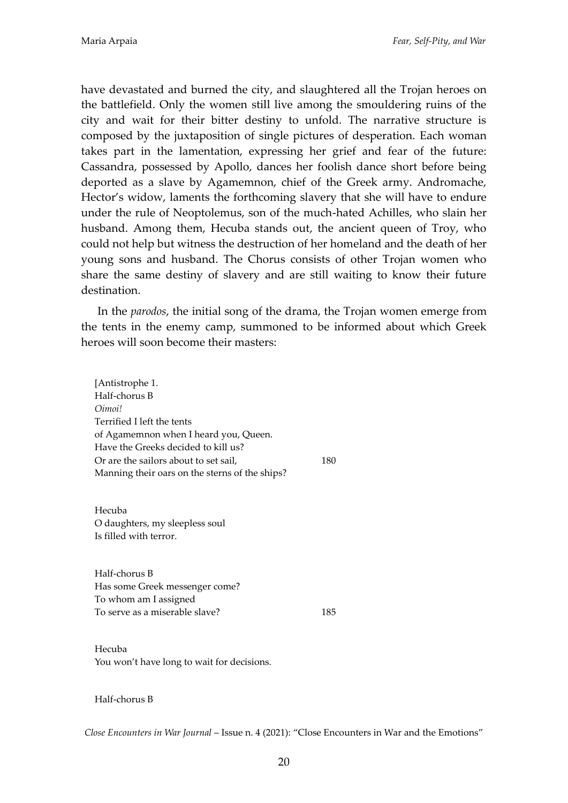have devastated and burned the city, and slaughtered all the Trojan heroes on the battlefield. Only the women still live among the smouldering ruins of the city and wait for their bitter destiny to unfold. The narrative structure is composed by the juxtaposition of single pictures of desperation. Each woman takes part in the lamentation, expressing her grief and fear of the future: Cassandra, possessed by Apollo, dances her foolish dance short before being deported as a slave by Agamemnon, chief of the Greek army. Andromache, Hector's widow, laments the forthcoming slavery that she will have to endure under the rule of Neoptolemus, son of the much-hated Achilles, who slain her husband. Among them, Hecuba stands out, the ancient queen of Troy, who could not help but witness the destruction of her homeland and the death of her young sons and husband. The Chorus consists of other Trojan women who share the same destiny of slavery and are still waiting to know their future destination.

In the *parodos*, the initial song of the drama, the Trojan women emerge from the tents in the enemy camp, summoned to be informed about which Greek heroes will soon become their masters:

[Antistrophe 1. Half-chorus B *Oimoi!* Terrified I left the tents of Agamemnon when I heard you, Queen. Have the Greeks decided to kill us? Or are the sailors about to set sail, 180 Manning their oars on the sterns of the ships?

Hecuba O daughters, my sleepless soul Is filled with terror.

Half-chorus B Has some Greek messenger come? To whom am I assigned To serve as a miserable slave? 185

Hecuba You won't have long to wait for decisions.

Half-chorus B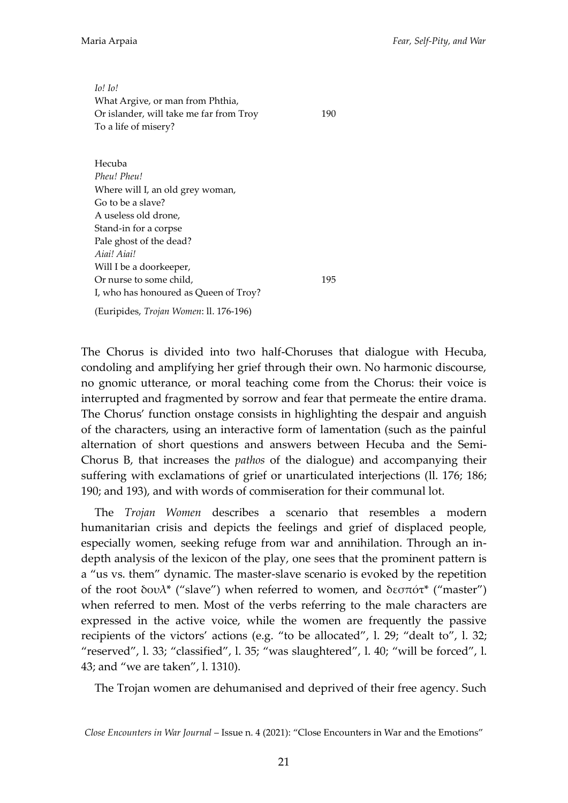*Io! Io!* What Argive, or man from Phthia, Or islander, will take me far from Troy 190 To a life of misery?

Hecuba *Pheu! Pheu!* Where will I, an old grey woman, Go to be a slave? A useless old drone, Stand-in for a corpse Pale ghost of the dead? *Aiai! Aiai!* Will I be a doorkeeper, Or nurse to some child, 195 I, who has honoured as Queen of Troy?

(Euripides, *Trojan Women*: ll. 176-196)

The Chorus is divided into two half-Choruses that dialogue with Hecuba, condoling and amplifying her grief through their own. No harmonic discourse, no gnomic utterance, or moral teaching come from the Chorus: their voice is interrupted and fragmented by sorrow and fear that permeate the entire drama. The Chorus' function onstage consists in highlighting the despair and anguish of the characters, using an interactive form of lamentation (such as the painful alternation of short questions and answers between Hecuba and the Semi-Chorus B, that increases the *pathos* of the dialogue) and accompanying their suffering with exclamations of grief or unarticulated interjections (ll. 176; 186; 190; and 193), and with words of commiseration for their communal lot.

The *Trojan Women* describes a scenario that resembles a modern humanitarian crisis and depicts the feelings and grief of displaced people, especially women, seeking refuge from war and annihilation. Through an indepth analysis of the lexicon of the play, one sees that the prominent pattern is a 'us vs. them' dynamic. The master-slave scenario is evoked by the repetition of the root δουλ<sup>\*</sup> ("slave") when referred to women, and δεσπότ<sup>\*</sup> ("master") when referred to men. Most of the verbs referring to the male characters are expressed in the active voice, while the women are frequently the passive recipients of the victors' actions (e.g. "to be allocated", l. 29; "dealt to", l. 32; 'reserved', l. 33; 'classified', l. 35; 'was slaughtered', l. 40; 'will be forced', l. 43; and 'we are taken', l. 1310).

The Trojan women are dehumanised and deprived of their free agency. Such

*Close Encounters in War Journal* – Issue n. 4 (2021): 'Close Encounters in War and the Emotions'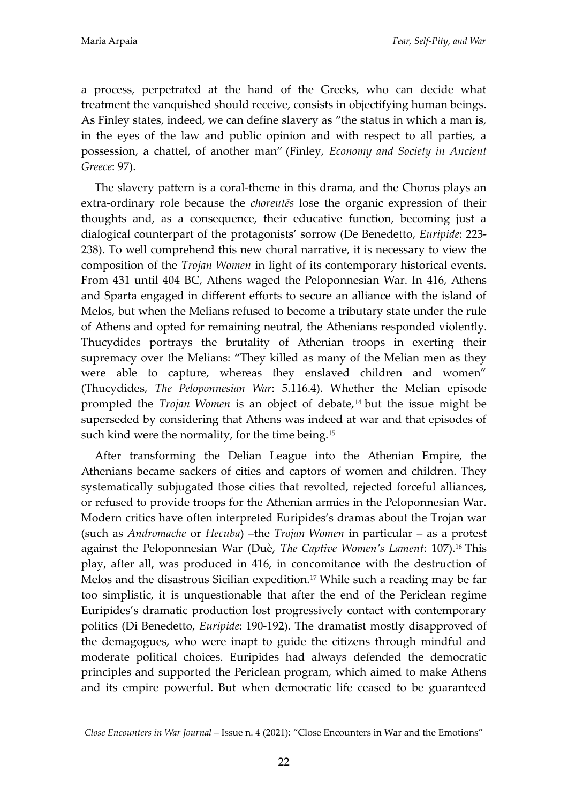a process, perpetrated at the hand of the Greeks, who can decide what treatment the vanquished should receive, consists in objectifying human beings. As Finley states, indeed, we can define slavery as "the status in which a man is, in the eyes of the law and public opinion and with respect to all parties, a possession, a chattel, of another man' (Finley, *Economy and Society in Ancient Greece*: 97).

The slavery pattern is a coral-theme in this drama, and the Chorus plays an extra-ordinary role because the *choreutēs* lose the organic expression of their thoughts and, as a consequence, their educative function, becoming just a dialogical counterpart of the protagonists' sorrow (De Benedetto, *Euripide*: 223- 238). To well comprehend this new choral narrative, it is necessary to view the composition of the *Trojan Women* in light of its contemporary historical events. From 431 until 404 BC, Athens waged the Peloponnesian War. In 416, Athens and Sparta engaged in different efforts to secure an alliance with the island of Melos, but when the Melians refused to become a tributary state under the rule of Athens and opted for remaining neutral, the Athenians responded violently. Thucydides portrays the brutality of Athenian troops in exerting their supremacy over the Melians: 'They killed as many of the Melian men as they were able to capture, whereas they enslaved children and women' (Thucydides, *The Peloponnesian War*: 5.116.4). Whether the Melian episode prompted the *Trojan Women* is an object of debate,<sup>14</sup> but the issue might be superseded by considering that Athens was indeed at war and that episodes of such kind were the normality, for the time being.<sup>15</sup>

After transforming the Delian League into the Athenian Empire, the Athenians became sackers of cities and captors of women and children. They systematically subjugated those cities that revolted, rejected forceful alliances, or refused to provide troops for the Athenian armies in the Peloponnesian War. Modern critics have often interpreted Euripides's dramas about the Trojan war (such as *Andromache* or *Hecuba*) –the *Trojan Women* in particular – as a protest against the Peloponnesian War (Duè, *The Captive Women's Lament*: 107).<sup>16</sup> This play, after all, was produced in 416, in concomitance with the destruction of Melos and the disastrous Sicilian expedition.<sup>17</sup> While such a reading may be far too simplistic, it is unquestionable that after the end of the Periclean regime Euripides's dramatic production lost progressively contact with contemporary politics (Di Benedetto, *Euripide*: 190-192). The dramatist mostly disapproved of the demagogues, who were inapt to guide the citizens through mindful and moderate political choices. Euripides had always defended the democratic principles and supported the Periclean program, which aimed to make Athens and its empire powerful. But when democratic life ceased to be guaranteed

*Close Encounters in War Journal* – Issue n. 4 (2021): 'Close Encounters in War and the Emotions'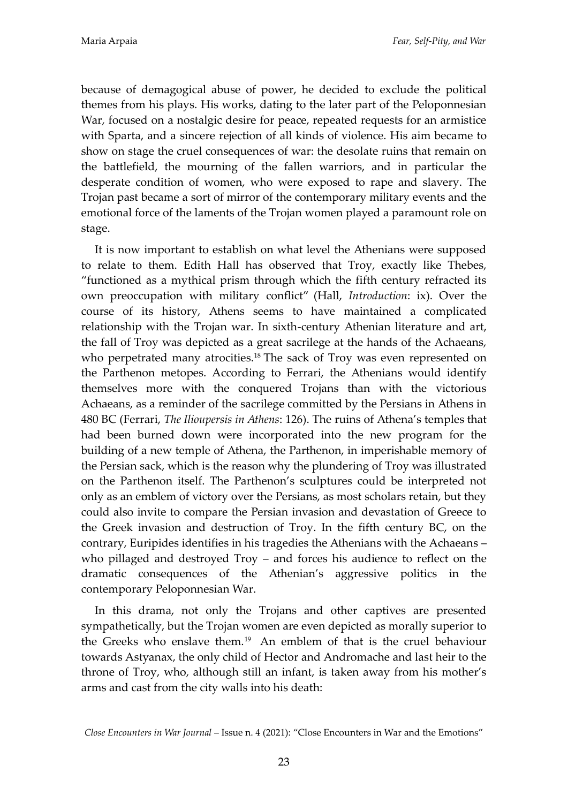because of demagogical abuse of power, he decided to exclude the political themes from his plays. His works, dating to the later part of the Peloponnesian War, focused on a nostalgic desire for peace, repeated requests for an armistice with Sparta, and a sincere rejection of all kinds of violence. His aim became to show on stage the cruel consequences of war: the desolate ruins that remain on the battlefield, the mourning of the fallen warriors, and in particular the desperate condition of women, who were exposed to rape and slavery. The Trojan past became a sort of mirror of the contemporary military events and the emotional force of the laments of the Trojan women played a paramount role on stage.

It is now important to establish on what level the Athenians were supposed to relate to them. Edith Hall has observed that Troy, exactly like Thebes, 'functioned as a mythical prism through which the fifth century refracted its own preoccupation with military conflict' (Hall, *Introduction*: ix). Over the course of its history, Athens seems to have maintained a complicated relationship with the Trojan war. In sixth-century Athenian literature and art, the fall of Troy was depicted as a great sacrilege at the hands of the Achaeans, who perpetrated many atrocities.<sup>18</sup> The sack of Troy was even represented on the Parthenon metopes. According to Ferrari, the Athenians would identify themselves more with the conquered Trojans than with the victorious Achaeans, as a reminder of the sacrilege committed by the Persians in Athens in 480 BC (Ferrari, *The Ilioupersis in Athens*: 126). The ruins of Athena's temples that had been burned down were incorporated into the new program for the building of a new temple of Athena, the Parthenon, in imperishable memory of the Persian sack, which is the reason why the plundering of Troy was illustrated on the Parthenon itself. The Parthenon's sculptures could be interpreted not only as an emblem of victory over the Persians, as most scholars retain, but they could also invite to compare the Persian invasion and devastation of Greece to the Greek invasion and destruction of Troy. In the fifth century BC, on the contrary, Euripides identifies in his tragedies the Athenians with the Achaeans – who pillaged and destroyed Troy – and forces his audience to reflect on the dramatic consequences of the Athenian's aggressive politics in the contemporary Peloponnesian War.

In this drama, not only the Trojans and other captives are presented sympathetically, but the Trojan women are even depicted as morally superior to the Greeks who enslave them.<sup>19</sup> An emblem of that is the cruel behaviour towards Astyanax, the only child of Hector and Andromache and last heir to the throne of Troy, who, although still an infant, is taken away from his mother's arms and cast from the city walls into his death:

*Close Encounters in War Journal* – Issue n. 4 (2021): 'Close Encounters in War and the Emotions'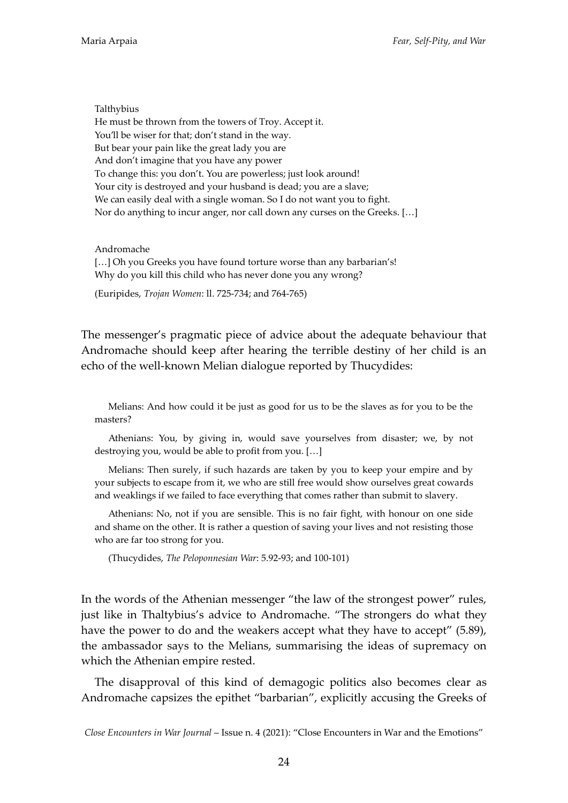Talthybius He must be thrown from the towers of Troy. Accept it. You'll be wiser for that; don't stand in the way. But bear your pain like the great lady you are And don't imagine that you have any power To change this: you don't. You are powerless; just look around! Your city is destroyed and your husband is dead; you are a slave; We can easily deal with a single woman. So I do not want you to fight. Nor do anything to incur anger, nor call down any curses on the Greeks. [...]

Andromache [...] Oh you Greeks you have found torture worse than any barbarian's! Why do you kill this child who has never done you any wrong?

(Euripides, *Trojan Women*: ll. 725-734; and 764-765)

The messenger's pragmatic piece of advice about the adequate behaviour that Andromache should keep after hearing the terrible destiny of her child is an echo of the well-known Melian dialogue reported by Thucydides:

Melians: And how could it be just as good for us to be the slaves as for you to be the masters?

Athenians: You, by giving in, would save yourselves from disaster; we, by not destroying you, would be able to profit from you.  $[...]$ 

Melians: Then surely, if such hazards are taken by you to keep your empire and by your subjects to escape from it, we who are still free would show ourselves great cowards and weaklings if we failed to face everything that comes rather than submit to slavery.

Athenians: No, not if you are sensible. This is no fair fight, with honour on one side and shame on the other. It is rather a question of saving your lives and not resisting those who are far too strong for you.

(Thucydides, *The Peloponnesian War*: 5.92-93; and 100-101)

In the words of the Athenian messenger 'the law of the strongest power' rules, just like in Thaltybius's advice to Andromache. "The strongers do what they have the power to do and the weakers accept what they have to accept" (5.89), the ambassador says to the Melians, summarising the ideas of supremacy on which the Athenian empire rested.

The disapproval of this kind of demagogic politics also becomes clear as Andromache capsizes the epithet 'barbarian', explicitly accusing the Greeks of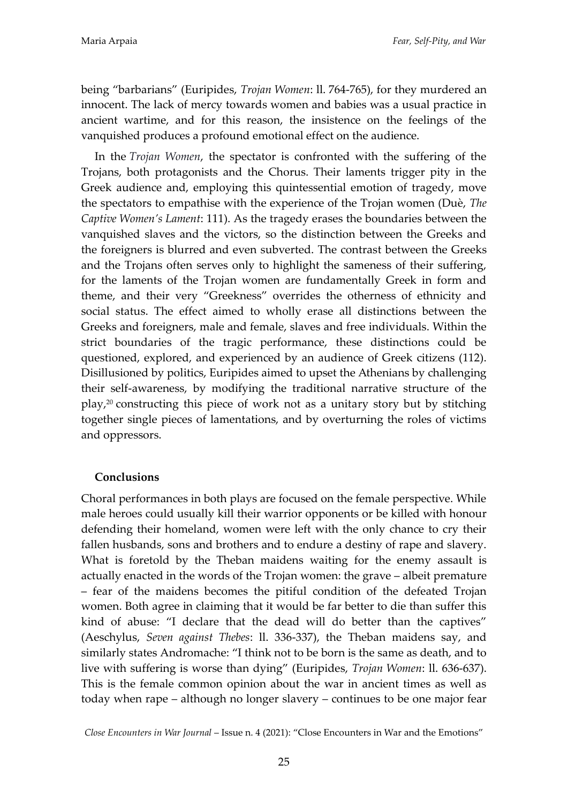being 'barbarians' (Euripides, *Trojan Women*: ll. 764-765), for they murdered an innocent. The lack of mercy towards women and babies was a usual practice in ancient wartime, and for this reason, the insistence on the feelings of the vanquished produces a profound emotional effect on the audience.

In the *Trojan Women*, the spectator is confronted with the suffering of the Trojans, both protagonists and the Chorus. Their laments trigger pity in the Greek audience and, employing this quintessential emotion of tragedy, move the spectators to empathise with the experience of the Trojan women (Duè, *The Captive Women's Lament*: 111). As the tragedy erases the boundaries between the vanquished slaves and the victors, so the distinction between the Greeks and the foreigners is blurred and even subverted. The contrast between the Greeks and the Trojans often serves only to highlight the sameness of their suffering, for the laments of the Trojan women are fundamentally Greek in form and theme, and their very 'Greekness' overrides the otherness of ethnicity and social status. The effect aimed to wholly erase all distinctions between the Greeks and foreigners, male and female, slaves and free individuals. Within the strict boundaries of the tragic performance, these distinctions could be questioned, explored, and experienced by an audience of Greek citizens (112). Disillusioned by politics, Euripides aimed to upset the Athenians by challenging their self-awareness, by modifying the traditional narrative structure of the play, <sup>20</sup> constructing this piece of work not as a unitary story but by stitching together single pieces of lamentations, and by overturning the roles of victims and oppressors.

## **Conclusions**

Choral performances in both plays are focused on the female perspective. While male heroes could usually kill their warrior opponents or be killed with honour defending their homeland, women were left with the only chance to cry their fallen husbands, sons and brothers and to endure a destiny of rape and slavery. What is foretold by the Theban maidens waiting for the enemy assault is actually enacted in the words of the Trojan women: the grave – albeit premature – fear of the maidens becomes the pitiful condition of the defeated Trojan women. Both agree in claiming that it would be far better to die than suffer this kind of abuse: 'I declare that the dead will do better than the captives' (Aeschylus, *Seven against Thebes*: ll. 336-337), the Theban maidens say, and similarly states Andromache: 'I think not to be born is the same as death, and to live with suffering is worse than dying' (Euripides, *Trojan Women*: ll. 636-637). This is the female common opinion about the war in ancient times as well as today when rape – although no longer slavery – continues to be one major fear

*Close Encounters in War Journal* – Issue n. 4 (2021): 'Close Encounters in War and the Emotions'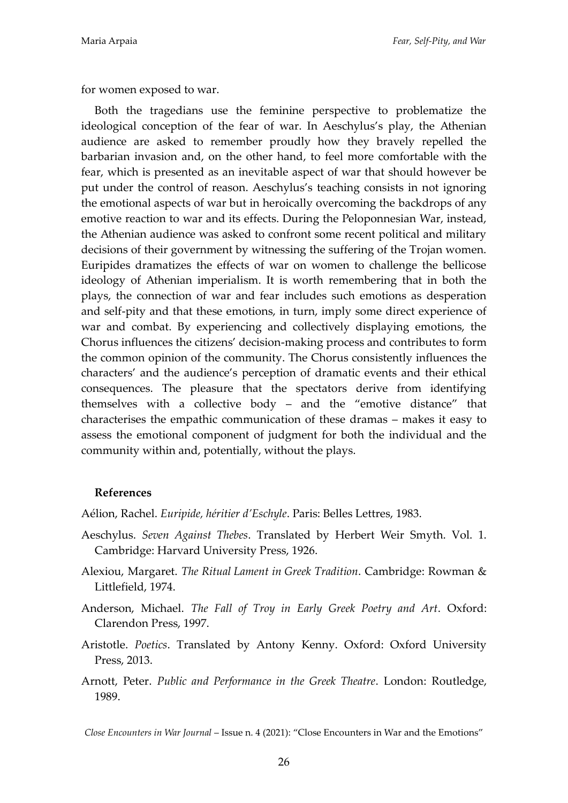for women exposed to war.

Both the tragedians use the feminine perspective to problematize the ideological conception of the fear of war. In Aeschylus's play, the Athenian audience are asked to remember proudly how they bravely repelled the barbarian invasion and, on the other hand, to feel more comfortable with the fear, which is presented as an inevitable aspect of war that should however be put under the control of reason. Aeschylus's teaching consists in not ignoring the emotional aspects of war but in heroically overcoming the backdrops of any emotive reaction to war and its effects. During the Peloponnesian War, instead, the Athenian audience was asked to confront some recent political and military decisions of their government by witnessing the suffering of the Trojan women. Euripides dramatizes the effects of war on women to challenge the bellicose ideology of Athenian imperialism. It is worth remembering that in both the plays, the connection of war and fear includes such emotions as desperation and self-pity and that these emotions, in turn, imply some direct experience of war and combat. By experiencing and collectively displaying emotions, the Chorus influences the citizens' decision-making process and contributes to form the common opinion of the community. The Chorus consistently influences the characters' and the audience's perception of dramatic events and their ethical consequences. The pleasure that the spectators derive from identifying themselves with a collective body – and the 'emotive distance' that characterises the empathic communication of these dramas – makes it easy to assess the emotional component of judgment for both the individual and the community within and, potentially, without the plays.

#### **References**

Aélion, Rachel. *Euripide, héritier d'Eschyle*. Paris: Belles Lettres, 1983.

- Aeschylus. *Seven Against Thebes*. Translated by Herbert Weir Smyth. Vol. 1. Cambridge: Harvard University Press, 1926.
- Alexiou, Margaret. *The Ritual Lament in Greek Tradition*. Cambridge: Rowman & Littlefield, 1974.
- Anderson, Michael. *The Fall of Troy in Early Greek Poetry and Art*. Oxford: Clarendon Press, 1997.
- Aristotle. *Poetics*. Translated by Antony Kenny. Oxford: Oxford University Press, 2013.
- Arnott, Peter. *Public and Performance in the Greek Theatre*. London: Routledge, 1989.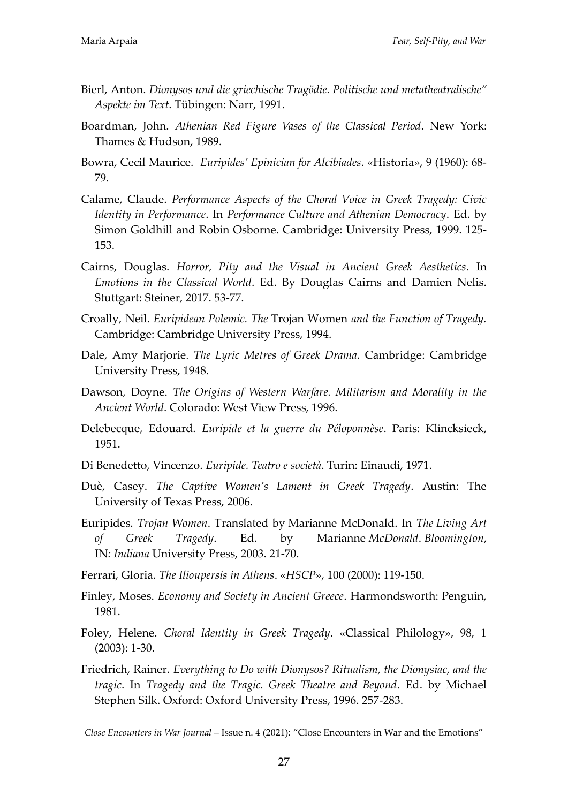- Bierl, Anton. *Dionysos und die griechische Tragödie. Politische und metatheatralische" Aspekte im Text*. Tübingen: Narr, 1991.
- Boardman, John. *Athenian Red Figure Vases of the Classical Period*. New York: Thames & Hudson, 1989.
- Bowra, Cecil Maurice. *Euripides' Epinician for Alcibiades*. «Historia», 9 (1960): 68- 79.
- Calame, Claude. *Performance Aspects of the Choral Voice in Greek Tragedy: Civic Identity in Performance*. In *Performance Culture and Athenian Democracy*. Ed. by Simon Goldhill and Robin Osborne. Cambridge: University Press, 1999. 125- 153.
- Cairns, Douglas. *Horror, Pity and the Visual in Ancient Greek Aesthetics*. In *Emotions in the Classical World*. Ed. By Douglas Cairns and Damien Nelis. Stuttgart: Steiner, 2017. 53-77.
- Croally, Neil. *Euripidean Polemic. The* Trojan Women *and the Function of Tragedy.*  Cambridge: Cambridge University Press, 1994.
- Dale, Amy Marjorie. *The Lyric Metres of Greek Drama*. Cambridge: Cambridge University Press, 1948.
- Dawson, Doyne. *The Origins of Western Warfare. Militarism and Morality in the Ancient World*. Colorado: West View Press, 1996.
- Delebecque, Edouard. *Euripide et la guerre du Péloponnèse*. Paris: Klincksieck, 1951.
- Di Benedetto, Vincenzo. *Euripide. Teatro e societ|*. Turin: Einaudi, 1971.
- Duè, Casey. *The Captive Women's Lament in Greek Tragedy*. Austin: The University of Texas Press, 2006.
- Euripides. *Trojan Women*. Translated by Marianne McDonald. In *The Living Art of Greek Tragedy*. Ed. by Marianne *McDonald*. *Bloomington*, IN*: Indiana* University Press, 2003. 21-70.
- Ferrari, Gloria. *The Ilioupersis in Athens*. «*HSCP*», 100 (2000): 119-150.
- Finley, Moses. *Economy and Society in Ancient Greece*. Harmondsworth: Penguin, 1981.
- Foley, Helene. *Choral Identity in Greek Tragedy*. «Classical Philology», 98, 1 (2003): 1-30.
- Friedrich, Rainer. *Everything to Do with Dionysos? Ritualism, the Dionysiac, and the tragic*. In *Tragedy and the Tragic. Greek Theatre and Beyond*. Ed. by Michael Stephen Silk. Oxford: Oxford University Press, 1996. 257-283.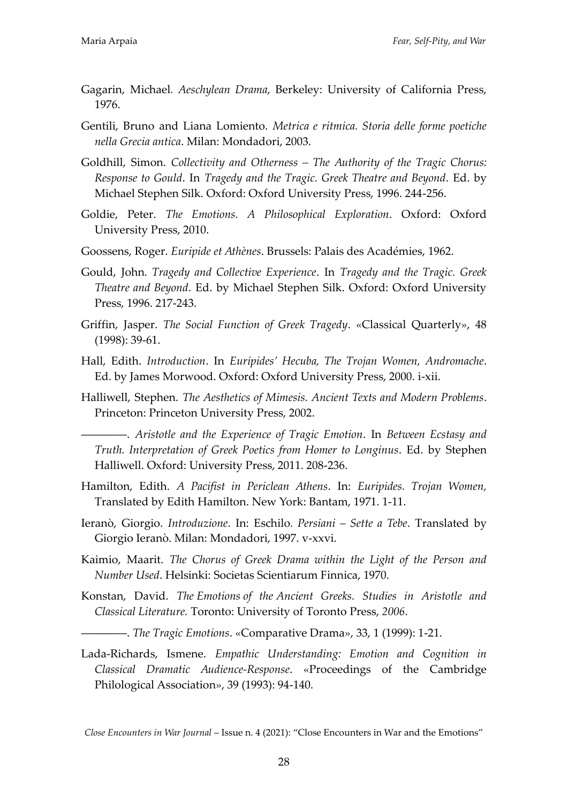- Gagarin, Michael*. Aeschylean Drama*, Berkeley: University of California Press, 1976.
- Gentili, Bruno and Liana Lomiento. *Metrica e ritmica. Storia delle forme poetiche nella Grecia antica*. Milan: Mondadori, 2003.
- Goldhill, Simon. *Collectivity and Otherness – The Authority of the Tragic Chorus: Response to Gould*. In *Tragedy and the Tragic. Greek Theatre and Beyond*. Ed. by Michael Stephen Silk. Oxford: Oxford University Press, 1996. 244-256.
- Goldie, Peter. *The Emotions. A Philosophical Exploration*. Oxford: Oxford University Press, 2010.
- Goossens, Roger. *Euripide et Athènes*. Brussels: Palais des Académies, 1962.
- Gould, John*. Tragedy and Collective Experience*. In *Tragedy and the Tragic. Greek Theatre and Beyond*. Ed. by Michael Stephen Silk. Oxford: Oxford University Press, 1996. 217-243.
- Griffin, Jasper. *The Social Function of Greek Tragedy*. «Classical Quarterly», 48 (1998): 39-61.
- Hall, Edith. *Introduction*. In *Euripides' Hecuba, The Trojan Women, Andromache*. Ed. by James Morwood. Oxford: Oxford University Press, 2000. i-xii.
- Halliwell, Stephen. *The Aesthetics of Mimesis. Ancient Texts and Modern Problems*. Princeton: Princeton University Press, 2002.

――――. *Aristotle and the Experience of Tragic Emotion*. In *Between Ecstasy and Truth. Interpretation of Greek Poetics from Homer to Longinus*. Ed. by Stephen Halliwell. Oxford: University Press, 2011. 208-236.

- Hamilton, Edith. *A Pacifist in Periclean Athens*. In: *Euripides. Trojan Women,*  Translated by Edith Hamilton. New York: Bantam, 1971. 1-11.
- Ieranò, Giorgio. *Introduzione*. In: Eschilo*. Persiani – Sette a Tebe*. Translated by Giorgio Ieranò. Milan: Mondadori, 1997. v-xxvi.
- Kaimio, Maarit. *The Chorus of Greek Drama within the Light of the Person and Number Used*. Helsinki: Societas Scientiarum Finnica, 1970.
- Konstan, David. *The Emotions of the Ancient Greeks. Studies in Aristotle and Classical Literature.* Toronto: University of Toronto Press, *2006*.
	- ――――. *The Tragic Emotions*. «Comparative Drama», 33, 1 (1999): 1-21.
- Lada-Richards, Ismene. *Empathic Understanding: Emotion and Cognition in Classical Dramatic Audience-Response*. «Proceedings of the Cambridge Philological Association», 39 (1993): 94-140.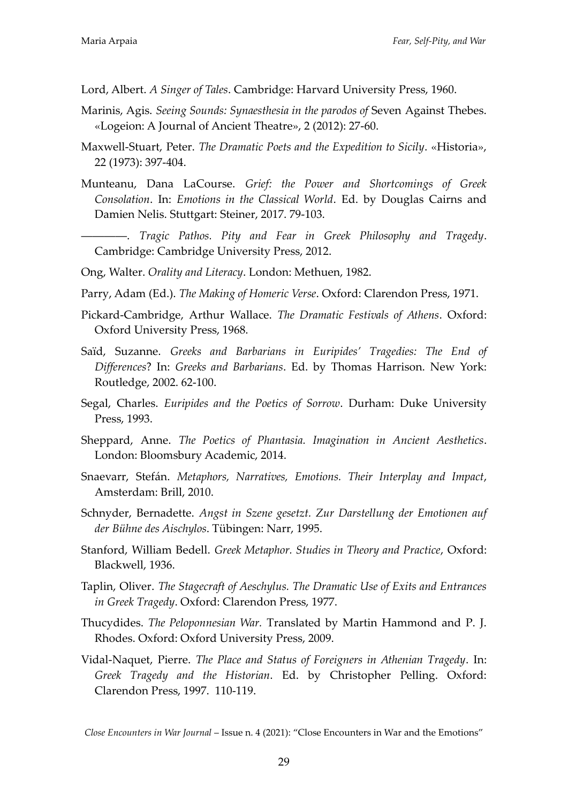Lord, Albert. *A Singer of Tales*. Cambridge: Harvard University Press, 1960.

- Marinis, Agis. *Seeing Sounds: Synaesthesia in the parodos of* Seven Against Thebes. «Logeion: A Journal of Ancient Theatre», 2 (2012): 27-60.
- Maxwell-Stuart, Peter. *The Dramatic Poets and the Expedition to Sicily*. «Historia», 22 (1973): 397-404.
- Munteanu, Dana LaCourse. *Grief: the Power and Shortcomings of Greek Consolation*. In: *Emotions in the Classical World*. Ed. by Douglas Cairns and Damien Nelis. Stuttgart: Steiner, 2017. 79-103.
- ――――. *Tragic Pathos. Pity and Fear in Greek Philosophy and Tragedy*. Cambridge: Cambridge University Press, 2012.
- Ong, Walter. *Orality and Literacy*. London: Methuen, 1982.
- Parry, Adam (Ed.). *The Making of Homeric Verse*. Oxford: Clarendon Press, 1971.
- Pickard-Cambridge, Arthur Wallace. *The Dramatic Festivals of Athens*. Oxford: Oxford University Press, 1968.
- Saïd, Suzanne. *Greeks and Barbarians in Euripides' Tragedies: The End of Differences*? In: *Greeks and Barbarians*. Ed. by Thomas Harrison. New York: Routledge, 2002. 62-100.
- Segal, Charles. *Euripides and the Poetics of Sorrow*. Durham: Duke University Press, 1993.
- Sheppard, Anne. *The Poetics of Phantasia. Imagination in Ancient Aesthetics*. London: Bloomsbury Academic, 2014.
- Snaevarr, Stefán. *Metaphors, Narratives*, Emotions. Their Interplay and Impact, Amsterdam: Brill, 2010.
- Schnyder, Bernadette. *Angst in Szene gesetzt. Zur Darstellung der Emotionen auf der Bühne des Aischylos*. Tübingen: Narr, 1995.
- Stanford, William Bedell. *Greek Metaphor. Studies in Theory and Practice*, Oxford: Blackwell, 1936.
- Taplin, Oliver. *The Stagecraft of Aeschylus. The Dramatic Use of Exits and Entrances in Greek Tragedy*. Oxford: Clarendon Press, 1977.
- Thucydides. *The Peloponnesian War.* Translated by Martin Hammond and P. J. Rhodes. Oxford: Oxford University Press, 2009.
- Vidal-Naquet, Pierre. *The Place and Status of Foreigners in Athenian Tragedy*. In: *Greek Tragedy and the Historian*. Ed. by Christopher Pelling. Oxford: Clarendon Press, 1997. 110-119.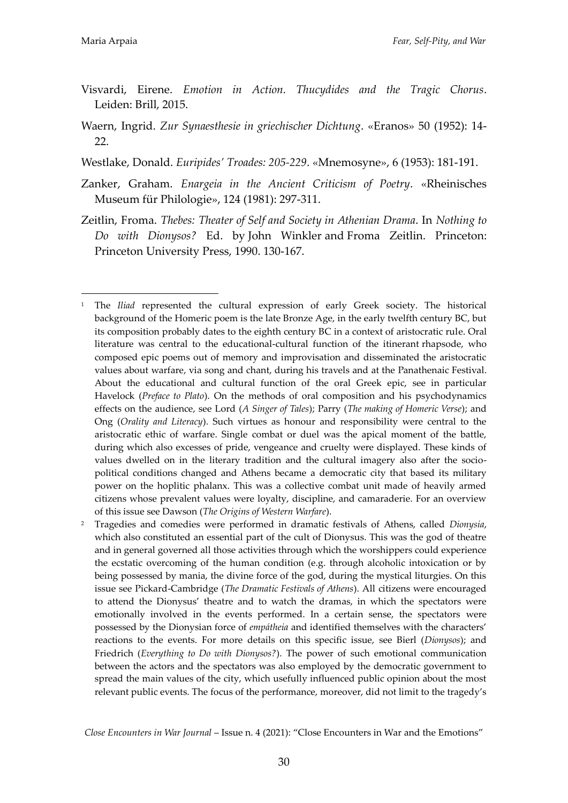- Visvardi, Eirene. *Emotion in Action. Thucydides and the Tragic Chorus*. Leiden: Brill, 2015.
- Waern, Ingrid. *Zur Synaesthesie in griechischer Dichtung*. «Eranos» 50 (1952): 14- 22.
- Westlake, Donald. *Euripides' Troades: 205-229*. «Mnemosyne», 6 (1953): 181-191.
- Zanker, Graham. *Enargeia in the Ancient Criticism of Poetry*. «Rheinisches Museum für Philologie», 124 (1981): 297-311.
- Zeitlin, Froma. *Thebes: Theater of Self and Society in Athenian Drama*. In *Nothing to Do with Dionysos?* Ed. by [John Winkler](https://press.princeton.edu/taxonomy/term/16556) and [Froma Zeitlin.](https://press.princeton.edu/taxonomy/term/20963) Princeton: Princeton University Press, 1990. 130-167.

<sup>2</sup> Tragedies and comedies were performed in dramatic festivals of Athens, called *Dionysia*, which also constituted an essential part of the cult of Dionysus. This was the god of theatre and in general governed all those activities through which the worshippers could experience the ecstatic overcoming of the human condition (e.g. through alcoholic intoxication or by being possessed by mania, the divine force of the god, during the mystical liturgies. On this issue see Pickard-Cambridge (*The Dramatic Festivals of Athens*). All citizens were encouraged to attend the Dionysus' theatre and to watch the dramas, in which the spectators were emotionally involved in the events performed. In a certain sense, the spectators were possessed by the Dionysian force of *emp{theia* and identified themselves with the characters' reactions to the events. For more details on this specific issue, see Bierl (*Dionysos*); and Friedrich (*Everything to Do with Dionysos?*). The power of such emotional communication between the actors and the spectators was also employed by the democratic government to spread the main values of the city, which usefully influenced public opinion about the most relevant public events. The focus of the performance, moreover, did not limit to the tragedy's

<sup>&</sup>lt;u>.</u> <sup>1</sup> The *Iliad* represented the cultural expression of early Greek society. The historical background of the Homeric poem is the late Bronze Age, in the early twelfth century BC, but its composition probably dates to the eighth century BC in a context of aristocratic rule. Oral literature was central to the educational-cultural function of the itinerant rhapsode, who composed epic poems out of memory and improvisation and disseminated the aristocratic values about warfare, via song and chant, during his travels and at the [Panathenaic Festival.](https://en.wikipedia.org/wiki/Panathenaic_Festival) About the educational and cultural function of the oral Greek epic, see in particular Havelock (*Preface to Plato*). On the methods of oral composition and his psychodynamics effects on the audience, see Lord (*A Singer of Tales*); Parry (*The making of Homeric Verse*); and Ong (*Orality and Literacy*). Such virtues as honour and responsibility were central to the aristocratic ethic of warfare. Single combat or duel was the apical moment of the battle, during which also excesses of pride, vengeance and cruelty were displayed. These kinds of values dwelled on in the literary tradition and the cultural imagery also after the sociopolitical conditions changed and Athens became a democratic city that based its military power on the hoplitic phalanx. This was a collective combat unit made of heavily armed citizens whose prevalent values were loyalty, discipline, and camaraderie. For an overview of this issue see Dawson (*The Origins of Western Warfare*).

*Close Encounters in War Journal* – Issue n. 4 (2021): 'Close Encounters in War and the Emotions'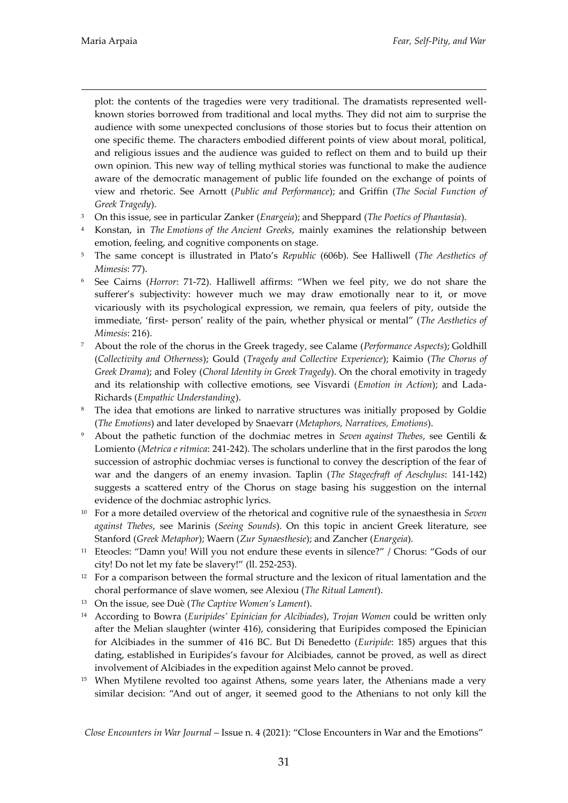<u>.</u>

plot: the contents of the tragedies were very traditional. The dramatists represented wellknown stories borrowed from traditional and local myths. They did not aim to surprise the audience with some unexpected conclusions of those stories but to focus their attention on one specific theme. The characters embodied different points of view about moral, political, and religious issues and the audience was guided to reflect on them and to build up their own opinion. This new way of telling mythical stories was functional to make the audience aware of the democratic management of public life founded on the exchange of points of view and rhetoric. See Arnott (*Public and Performance*); and Griffin (*The Social Function of Greek Tragedy*).

- <sup>3</sup> On this issue, see in particular Zanker (*Enargeia*); and Sheppard (*The Poetics of Phantasia*).
- <sup>4</sup> Konstan, in *The Emotions of the Ancient Greeks*, mainly examines the relationship between emotion, feeling, and cognitive components on stage.
- <sup>5</sup> The same concept is illustrated in Plato's *Republic* (606b). See Halliwell (*The Aesthetics of Mimesis*: 77).
- <sup>6</sup> See Cairns (*Horror*: 71-72). Halliwell affirms: 'When we feel pity, we do not share the sufferer's subjectivity: however much we may draw emotionally near to it, or move vicariously with its psychological expression, we remain, qua feelers of pity, outside the immediate, 'first- person' reality of the pain, whether physical or mental' (*The Aesthetics of Mimesis*: 216).
- <sup>7</sup> About the role of the chorus in the Greek tragedy, see Calame (*Performance Aspects*); Goldhill (*Collectivity and Otherness*); Gould (*Tragedy and Collective Experience*); Kaimio (*The Chorus of Greek Drama*); and Foley (*Choral Identity in Greek Tragedy*). On the choral emotivity in tragedy and its relationship with collective emotions, see Visvardi (*Emotion in Action*); and Lada-Richards (*Empathic Understanding*).
- <sup>8</sup> The idea that emotions are linked to narrative structures was initially proposed by Goldie (*The Emotions*) and later developed by Snaevarr (*Metaphors, Narratives, Emotions*).
- <sup>9</sup> About the pathetic function of the dochmiac metres in *Seven against Thebes*, see Gentili & Lomiento (*Metrica e ritmica*: 241-242). The scholars underline that in the first parodos the long succession of astrophic dochmiac verses is functional to convey the description of the fear of war and the dangers of an enemy invasion. Taplin (*The Stagecfraft of Aeschylus*: 141-142) suggests a scattered entry of the Chorus on stage basing his suggestion on the internal evidence of the dochmiac astrophic lyrics.
- <sup>10</sup> For a more detailed overview of the rhetorical and cognitive rule of the synaesthesia in *Seven against Thebes*, see Marinis (*Seeing Sounds*). On this topic in ancient Greek literature, see Stanford (*Greek Metaphor*); Waern (*Zur Synaesthesie*); and Zancher (*Enargeia*).
- <sup>11</sup> Eteocles: "Damn you! Will you not endure these events in silence?" / Chorus: "Gods of our city! Do not let my fate be slavery!' (ll. 252-253).
- $12$  For a comparison between the formal structure and the lexicon of ritual lamentation and the choral performance of slave women, see Alexiou (*The Ritual Lament*).
- <sup>13</sup> On the issue, see Duè (*The Captive Women's Lament*).
- <sup>14</sup> According to Bowra (*Euripides' Epinician for Alcibiades*), *Trojan Women* could be written only after the Melian slaughter (winter 416), considering that Euripides composed the Epinician for Alcibiades in the summer of 416 BC. But Di Benedetto (*Euripide*: 185) argues that this dating, established in Euripides's favour for Alcibiades, cannot be proved, as well as direct involvement of Alcibiades in the expedition against Melo cannot be proved.
- <sup>15</sup> When Mytilene revolted too against Athens, some years later, the Athenians made a very similar decision: 'And out of anger, it seemed good to the Athenians to not only kill the